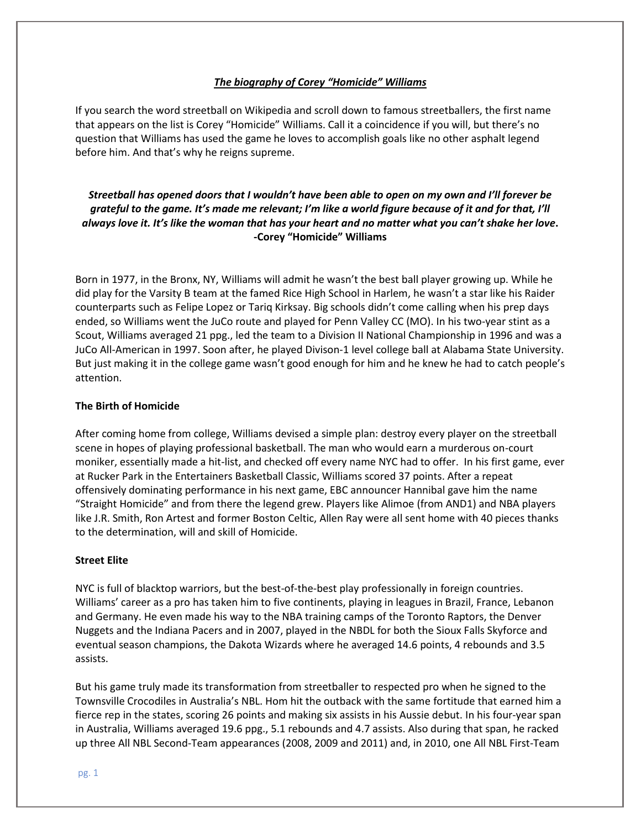## *The biography of Corey "Homicide" Williams*

If you search the word streetball on Wikipedia and scroll down to famous streetballers, the first name that appears on the list is Corey "Homicide" Williams. Call it a coincidence if you will, but there's no question that Williams has used the game he loves to accomplish goals like no other asphalt legend before him. And that's why he reigns supreme.

# *Streetball has opened doors that I wouldn't have been able to open on my own and I'll forever be grateful to the game. It's made me relevant; I'm like a world figure because of it and for that, I'll always love it. It's like the woman that has your heart and no matter what you can't shake her love***. -Corey "Homicide" Williams**

Born in 1977, in the Bronx, NY, Williams will admit he wasn't the best ball player growing up. While he did play for the Varsity B team at the famed Rice High School in Harlem, he wasn't a star like his Raider counterparts such as Felipe Lopez or Tariq Kirksay. Big schools didn't come calling when his prep days ended, so Williams went the JuCo route and played for Penn Valley CC (MO). In his two-year stint as a Scout, Williams averaged 21 ppg., led the team to a Division II National Championship in 1996 and was a JuCo All-American in 1997. Soon after, he played Divison-1 level college ball at Alabama State University. But just making it in the college game wasn't good enough for him and he knew he had to catch people's attention.

## **The Birth of Homicide**

After coming home from college, Williams devised a simple plan: destroy every player on the streetball scene in hopes of playing professional basketball. The man who would earn a murderous on-court moniker, essentially made a hit-list, and checked off every name NYC had to offer. In his first game, ever at Rucker Park in the Entertainers Basketball Classic, Williams scored 37 points. After a repeat offensively dominating performance in his next game, EBC announcer Hannibal gave him the name "Straight Homicide" and from there the legend grew. Players like Alimoe (from AND1) and NBA players like J.R. Smith, Ron Artest and former Boston Celtic, Allen Ray were all sent home with 40 pieces thanks to the determination, will and skill of Homicide.

## **Street Elite**

NYC is full of blacktop warriors, but the best-of-the-best play professionally in foreign countries. Williams' career as a pro has taken him to five continents, playing in leagues in Brazil, France, Lebanon and Germany. He even made his way to the NBA training camps of the Toronto Raptors, the Denver Nuggets and the Indiana Pacers and in 2007, played in the NBDL for both the Sioux Falls Skyforce and eventual season champions, the Dakota Wizards where he averaged 14.6 points, 4 rebounds and 3.5 assists.

But his game truly made its transformation from streetballer to respected pro when he signed to the Townsville Crocodiles in Australia's NBL. Hom hit the outback with the same fortitude that earned him a fierce rep in the states, scoring 26 points and making six assists in his Aussie debut. In his four-year span in Australia, Williams averaged 19.6 ppg., 5.1 rebounds and 4.7 assists. Also during that span, he racked up three All NBL Second-Team appearances (2008, 2009 and 2011) and, in 2010, one All NBL First-Team